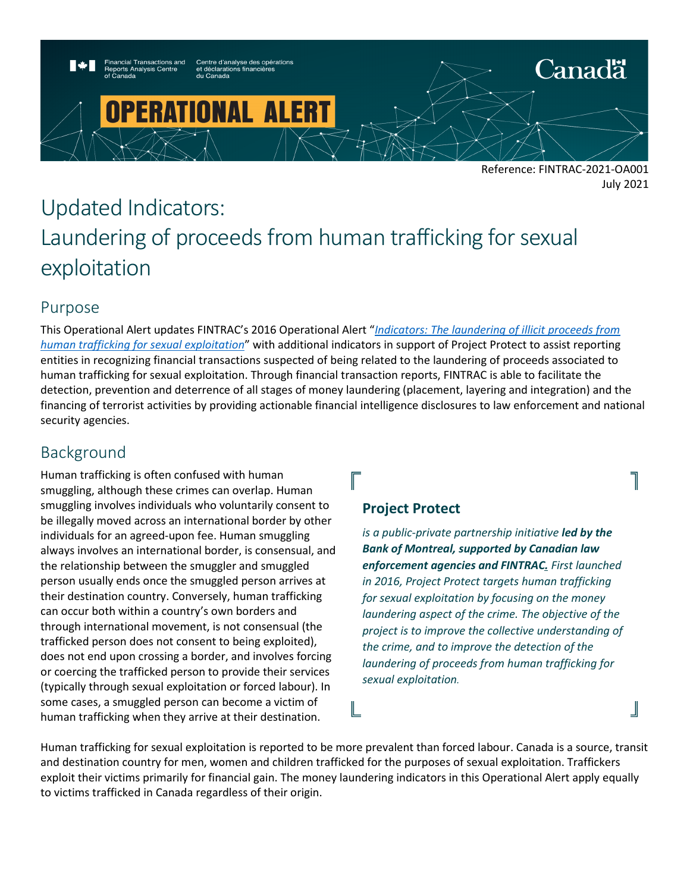

July 2021

╝

# Updated Indicators: Laundering of proceeds from human trafficking for sexual exploitation

### Purpose

This Operational Alert updates FINTRAC's 2016 Operational Alert "*[Indicators: The laundering of illicit proceeds from](https://www.fintrac-canafe.gc.ca/intel/operation/oai-hts-eng)  [human trafficking for sexual exploitation](https://www.fintrac-canafe.gc.ca/intel/operation/oai-hts-eng)*" with additional indicators in support of Project Protect to assist reporting entities in recognizing financial transactions suspected of being related to the laundering of proceeds associated to human trafficking for sexual exploitation. Through financial transaction reports, FINTRAC is able to facilitate the detection, prevention and deterrence of all stages of money laundering (placement, layering and integration) and the financing of terrorist activities by providing actionable financial intelligence disclosures to law enforcement and national security agencies.

## Background

Human trafficking is often confused with human smuggling, although these crimes can overlap. Human smuggling involves individuals who voluntarily consent to be illegally moved across an international border by other individuals for an agreed-upon fee. Human smuggling always involves an international border, is consensual, and the relationship between the smuggler and smuggled person usually ends once the smuggled person arrives at their destination country. Conversely, human trafficking can occur both within a country's own borders and through international movement, is not consensual (the trafficked person does not consent to being exploited), does not end upon crossing a border, and involves forcing or coercing the trafficked person to provide their services (typically through sexual exploitation or forced labour). In some cases, a smuggled person can become a victim of human trafficking when they arrive at their destination.

### **Project Protect**

*is a public-private partnership initiative led by the Bank of Montreal, supported by Canadian law enforcement agencies and FINTRAC. First launched in 2016, Project Protect targets human trafficking for sexual exploitation by focusing on the money laundering aspect of the crime. The objective of the project is to improve the collective understanding of the crime, and to improve the detection of the laundering of proceeds from human trafficking for sexual exploitation.*

Human trafficking for sexual exploitation is reported to be more prevalent than forced labour. Canada is a source, transit and destination country for men, women and children trafficked for the purposes of sexual exploitation. Traffickers exploit their victims primarily for financial gain. The money laundering indicators in this Operational Alert apply equally to victims trafficked in Canada regardless of their origin.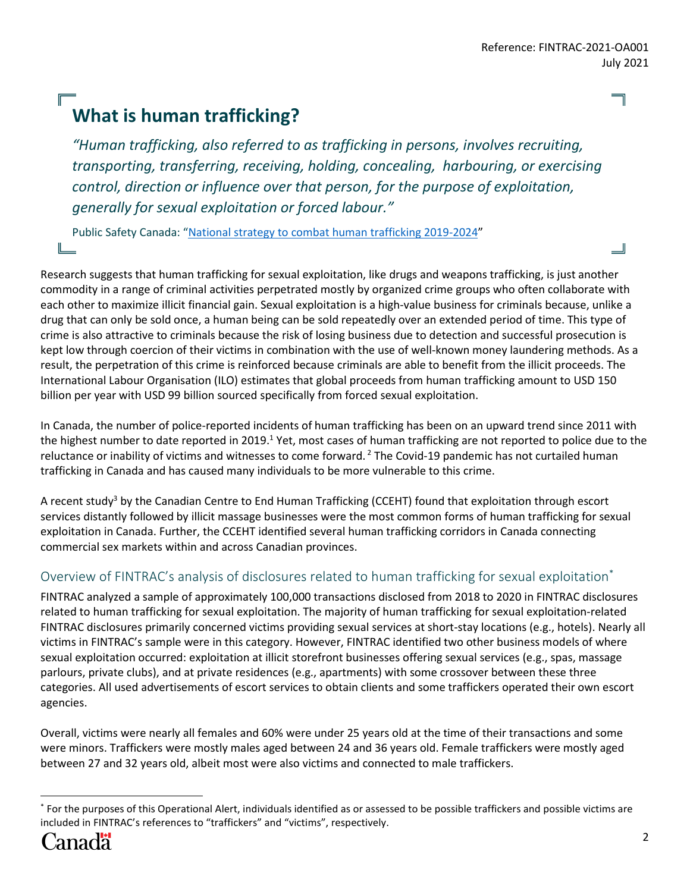## **What is human trafficking?**

*"Human trafficking, also referred to as trafficking in persons, involves recruiting, transporting, transferring, receiving, holding, concealing, harbouring, or exercising control, direction or influence over that person, for the purpose of exploitation, generally for sexual exploitation or forced labour."* 

Public Safety Canada: ["National strategy to combat human trafficking 2019-2024"](https://www.publicsafety.gc.ca/cnt/rsrcs/pblctns/2019-ntnl-strtgy-hmnn-trffc/index-en.aspx) ட

Research suggests that human trafficking for sexual exploitation, like drugs and weapons trafficking, is just another commodity in a range of criminal activities perpetrated mostly by organized crime groups who often collaborate with each other to maximize illicit financial gain. Sexual exploitation is a high-value business for criminals because, unlike a drug that can only be sold once, a human being can be sold repeatedly over an extended period of time. This type of crime is also attractive to criminals because the risk of losing business due to detection and successful prosecution is kept low through coercion of their victims in combination with the use of well-known money laundering methods. As a result, the perpetration of this crime is reinforced because criminals are able to benefit from the illicit proceeds. The International Labour Organisation (ILO) estimates that global proceeds from human trafficking amount to USD 150 billion per year with USD 99 billion sourced specifically from forced sexual exploitation.

In Canada, the number of police-reported incidents of human trafficking has been on an upward trend since 2011 with the highest number to date reported in 2019.<sup>1</sup> Yet, most cases of human trafficking are not reported to police due to the reluctance or inability of victims and witnesses to come forward.<sup>2</sup> The Covid-19 pandemic has not curtailed human trafficking in Canada and has caused many individuals to be more vulnerable to this crime.

A recent study<sup>3</sup> by the Canadian Centre to End Human Trafficking (CCEHT) found that exploitation through escort services distantly followed by illicit massage businesses were the most common forms of human trafficking for sexual exploitation in Canada. Further, the CCEHT identified several human trafficking corridors in Canada connecting commercial sex markets within and across Canadian provinces.

### Overview of FINTRAC's analysis of disclosures related to human trafficking for sexual exploitation\*

FINTRAC analyzed a sample of approximately 100,000 transactions disclosed from 2018 to 2020 in FINTRAC disclosures related to human trafficking for sexual exploitation. The majority of human trafficking for sexual exploitation-related FINTRAC disclosures primarily concerned victims providing sexual services at short-stay locations (e.g., hotels). Nearly all victims in FINTRAC's sample were in this category. However, FINTRAC identified two other business models of where sexual exploitation occurred: exploitation at illicit storefront businesses offering sexual services (e.g., spas, massage parlours, private clubs), and at private residences (e.g., apartments) with some crossover between these three categories. All used advertisements of escort services to obtain clients and some traffickers operated their own escort agencies.

Overall, victims were nearly all females and 60% were under 25 years old at the time of their transactions and some were minors. Traffickers were mostly males aged between 24 and 36 years old. Female traffickers were mostly aged between 27 and 32 years old, albeit most were also victims and connected to male traffickers.

l

2

╗

 $\Box$ 

<sup>\*</sup> For the purposes of this Operational Alert, individuals identified as or assessed to be possible traffickers and possible victims are included in FINTRAC's references to "traffickers" and "victims", respectively.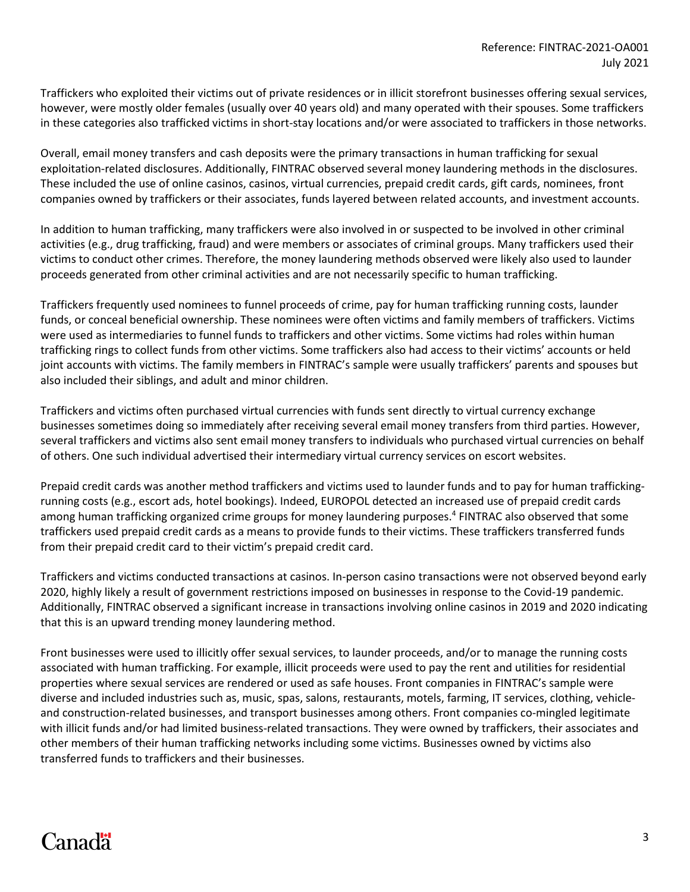Traffickers who exploited their victims out of private residences or in illicit storefront businesses offering sexual services, however, were mostly older females (usually over 40 years old) and many operated with their spouses. Some traffickers in these categories also trafficked victims in short-stay locations and/or were associated to traffickers in those networks.

Overall, email money transfers and cash deposits were the primary transactions in human trafficking for sexual exploitation-related disclosures. Additionally, FINTRAC observed several money laundering methods in the disclosures. These included the use of online casinos, casinos, virtual currencies, prepaid credit cards, gift cards, nominees, front companies owned by traffickers or their associates, funds layered between related accounts, and investment accounts.

In addition to human trafficking, many traffickers were also involved in or suspected to be involved in other criminal activities (e.g., drug trafficking, fraud) and were members or associates of criminal groups. Many traffickers used their victims to conduct other crimes. Therefore, the money laundering methods observed were likely also used to launder proceeds generated from other criminal activities and are not necessarily specific to human trafficking.

Traffickers frequently used nominees to funnel proceeds of crime, pay for human trafficking running costs, launder funds, or conceal beneficial ownership. These nominees were often victims and family members of traffickers. Victims were used as intermediaries to funnel funds to traffickers and other victims. Some victims had roles within human trafficking rings to collect funds from other victims. Some traffickers also had access to their victims' accounts or held joint accounts with victims. The family members in FINTRAC's sample were usually traffickers' parents and spouses but also included their siblings, and adult and minor children.

Traffickers and victims often purchased virtual currencies with funds sent directly to virtual currency exchange businesses sometimes doing so immediately after receiving several email money transfers from third parties. However, several traffickers and victims also sent email money transfers to individuals who purchased virtual currencies on behalf of others. One such individual advertised their intermediary virtual currency services on escort websites.

Prepaid credit cards was another method traffickers and victims used to launder funds and to pay for human traffickingrunning costs (e.g., escort ads, hotel bookings). Indeed, EUROPOL detected an increased use of prepaid credit cards among human trafficking organized crime groups for money laundering purposes.<sup>4</sup> FINTRAC also observed that some traffickers used prepaid credit cards as a means to provide funds to their victims. These traffickers transferred funds from their prepaid credit card to their victim's prepaid credit card.

Traffickers and victims conducted transactions at casinos. In-person casino transactions were not observed beyond early 2020, highly likely a result of government restrictions imposed on businesses in response to the Covid-19 pandemic. Additionally, FINTRAC observed a significant increase in transactions involving online casinos in 2019 and 2020 indicating that this is an upward trending money laundering method.

Front businesses were used to illicitly offer sexual services, to launder proceeds, and/or to manage the running costs associated with human trafficking. For example, illicit proceeds were used to pay the rent and utilities for residential properties where sexual services are rendered or used as safe houses. Front companies in FINTRAC's sample were diverse and included industries such as, music, spas, salons, restaurants, motels, farming, IT services, clothing, vehicleand construction-related businesses, and transport businesses among others. Front companies co-mingled legitimate with illicit funds and/or had limited business-related transactions. They were owned by traffickers, their associates and other members of their human trafficking networks including some victims. Businesses owned by victims also transferred funds to traffickers and their businesses.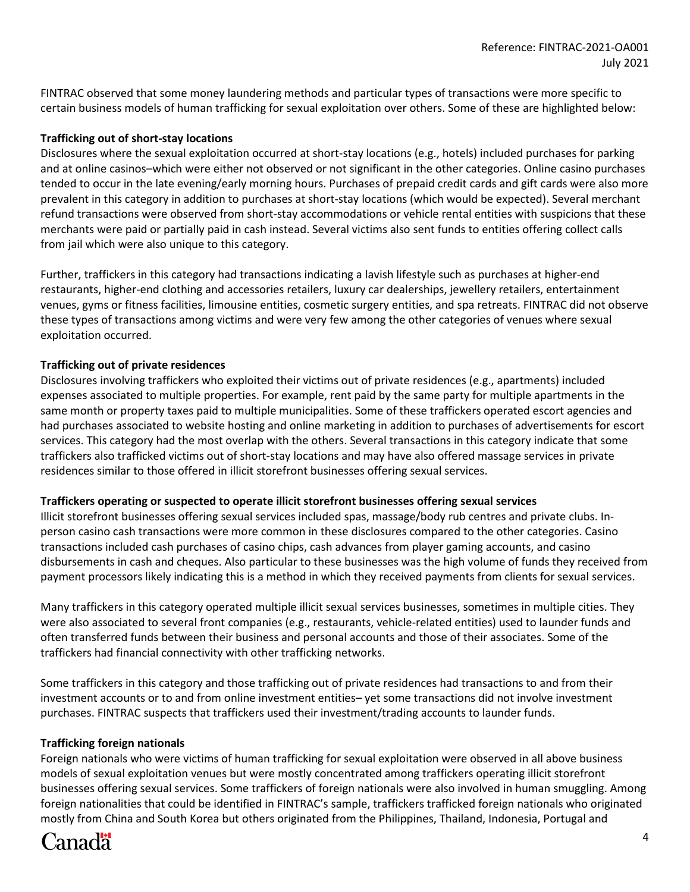FINTRAC observed that some money laundering methods and particular types of transactions were more specific to certain business models of human trafficking for sexual exploitation over others. Some of these are highlighted below:

#### **Trafficking out of short-stay locations**

Disclosures where the sexual exploitation occurred at short-stay locations (e.g., hotels) included purchases for parking and at online casinos–which were either not observed or not significant in the other categories. Online casino purchases tended to occur in the late evening/early morning hours. Purchases of prepaid credit cards and gift cards were also more prevalent in this category in addition to purchases at short-stay locations (which would be expected). Several merchant refund transactions were observed from short-stay accommodations or vehicle rental entities with suspicions that these merchants were paid or partially paid in cash instead. Several victims also sent funds to entities offering collect calls from jail which were also unique to this category.

Further, traffickers in this category had transactions indicating a lavish lifestyle such as purchases at higher-end restaurants, higher-end clothing and accessories retailers, luxury car dealerships, jewellery retailers, entertainment venues, gyms or fitness facilities, limousine entities, cosmetic surgery entities, and spa retreats. FINTRAC did not observe these types of transactions among victims and were very few among the other categories of venues where sexual exploitation occurred.

#### **Trafficking out of private residences**

Disclosures involving traffickers who exploited their victims out of private residences (e.g., apartments) included expenses associated to multiple properties. For example, rent paid by the same party for multiple apartments in the same month or property taxes paid to multiple municipalities. Some of these traffickers operated escort agencies and had purchases associated to website hosting and online marketing in addition to purchases of advertisements for escort services. This category had the most overlap with the others. Several transactions in this category indicate that some traffickers also trafficked victims out of short-stay locations and may have also offered massage services in private residences similar to those offered in illicit storefront businesses offering sexual services.

#### **Traffickers operating or suspected to operate illicit storefront businesses offering sexual services**

Illicit storefront businesses offering sexual services included spas, massage/body rub centres and private clubs. Inperson casino cash transactions were more common in these disclosures compared to the other categories. Casino transactions included cash purchases of casino chips, cash advances from player gaming accounts, and casino disbursements in cash and cheques. Also particular to these businesses was the high volume of funds they received from payment processors likely indicating this is a method in which they received payments from clients for sexual services.

Many traffickers in this category operated multiple illicit sexual services businesses, sometimes in multiple cities. They were also associated to several front companies (e.g., restaurants, vehicle-related entities) used to launder funds and often transferred funds between their business and personal accounts and those of their associates. Some of the traffickers had financial connectivity with other trafficking networks.

Some traffickers in this category and those trafficking out of private residences had transactions to and from their investment accounts or to and from online investment entities– yet some transactions did not involve investment purchases. FINTRAC suspects that traffickers used their investment/trading accounts to launder funds.

#### **Trafficking foreign nationals**

Foreign nationals who were victims of human trafficking for sexual exploitation were observed in all above business models of sexual exploitation venues but were mostly concentrated among traffickers operating illicit storefront businesses offering sexual services. Some traffickers of foreign nationals were also involved in human smuggling. Among foreign nationalities that could be identified in FINTRAC's sample, traffickers trafficked foreign nationals who originated mostly from China and South Korea but others originated from the Philippines, Thailand, Indonesia, Portugal and

## **Canada**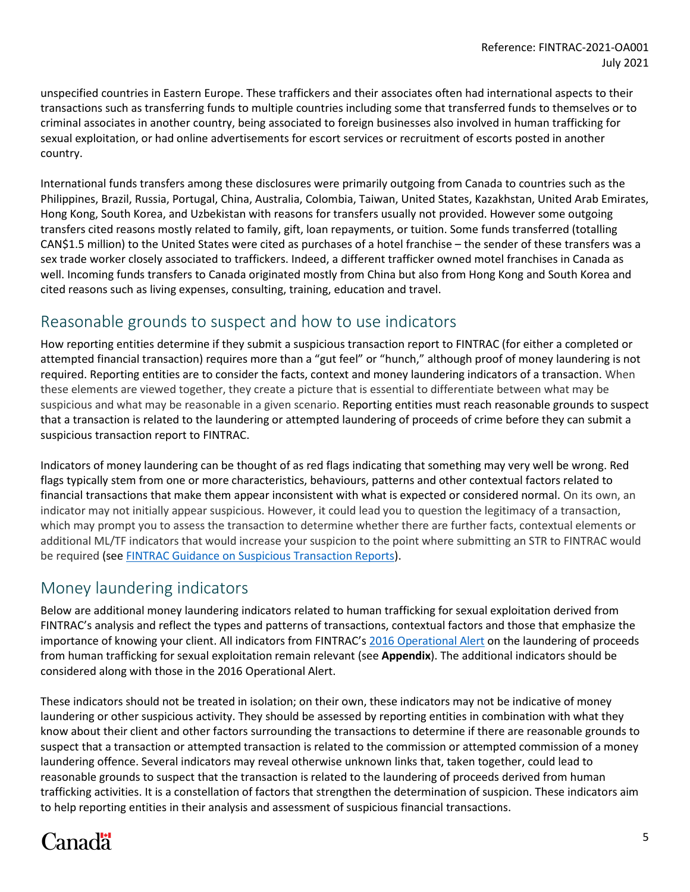unspecified countries in Eastern Europe. These traffickers and their associates often had international aspects to their transactions such as transferring funds to multiple countries including some that transferred funds to themselves or to criminal associates in another country, being associated to foreign businesses also involved in human trafficking for sexual exploitation, or had online advertisements for escort services or recruitment of escorts posted in another country.

International funds transfers among these disclosures were primarily outgoing from Canada to countries such as the Philippines, Brazil, Russia, Portugal, China, Australia, Colombia, Taiwan, United States, Kazakhstan, United Arab Emirates, Hong Kong, South Korea, and Uzbekistan with reasons for transfers usually not provided. However some outgoing transfers cited reasons mostly related to family, gift, loan repayments, or tuition. Some funds transferred (totalling CAN\$1.5 million) to the United States were cited as purchases of a hotel franchise – the sender of these transfers was a sex trade worker closely associated to traffickers. Indeed, a different trafficker owned motel franchises in Canada as well. Incoming funds transfers to Canada originated mostly from China but also from Hong Kong and South Korea and cited reasons such as living expenses, consulting, training, education and travel.

### Reasonable grounds to suspect and how to use indicators

How reporting entities determine if they submit a suspicious transaction report to FINTRAC (for either a completed or attempted financial transaction) requires more than a "gut feel" or "hunch," although proof of money laundering is not required. Reporting entities are to consider the facts, context and money laundering indicators of a transaction. When these elements are viewed together, they create a picture that is essential to differentiate between what may be suspicious and what may be reasonable in a given scenario. Reporting entities must reach reasonable grounds to suspect that a transaction is related to the laundering or attempted laundering of proceeds of crime before they can submit a suspicious transaction report to FINTRAC.

Indicators of money laundering can be thought of as red flags indicating that something may very well be wrong. Red flags typically stem from one or more characteristics, behaviours, patterns and other contextual factors related to financial transactions that make them appear inconsistent with what is expected or considered normal. On its own, an indicator may not initially appear suspicious. However, it could lead you to question the legitimacy of a transaction, which may prompt you to assess the transaction to determine whether there are further facts, contextual elements or additional ML/TF indicators that would increase your suspicion to the point where submitting an STR to FINTRAC would be required (see [FINTRAC Guidance on Suspicious Transaction Reports\)](https://www.fintrac-canafe.gc.ca/guidance-directives/transaction-operation/Guide2/2-eng).

## Money laundering indicators

Below are additional money laundering indicators related to human trafficking for sexual exploitation derived from FINTRAC's analysis and reflect the types and patterns of transactions, contextual factors and those that emphasize the importance of knowing your client. All indicators from FINTRAC'[s 2016 Operational Alert](https://www.fintrac-canafe.gc.ca/intel/operation/oai-hts-eng) on the laundering of proceeds from human trafficking for sexual exploitation remain relevant (see **Appendix**). The additional indicators should be considered along with those in the 2016 Operational Alert.

These indicators should not be treated in isolation; on their own, these indicators may not be indicative of money laundering or other suspicious activity. They should be assessed by reporting entities in combination with what they know about their client and other factors surrounding the transactions to determine if there are reasonable grounds to suspect that a transaction or attempted transaction is related to the commission or attempted commission of a money laundering offence. Several indicators may reveal otherwise unknown links that, taken together, could lead to reasonable grounds to suspect that the transaction is related to the laundering of proceeds derived from human trafficking activities. It is a constellation of factors that strengthen the determination of suspicion. These indicators aim to help reporting entities in their analysis and assessment of suspicious financial transactions.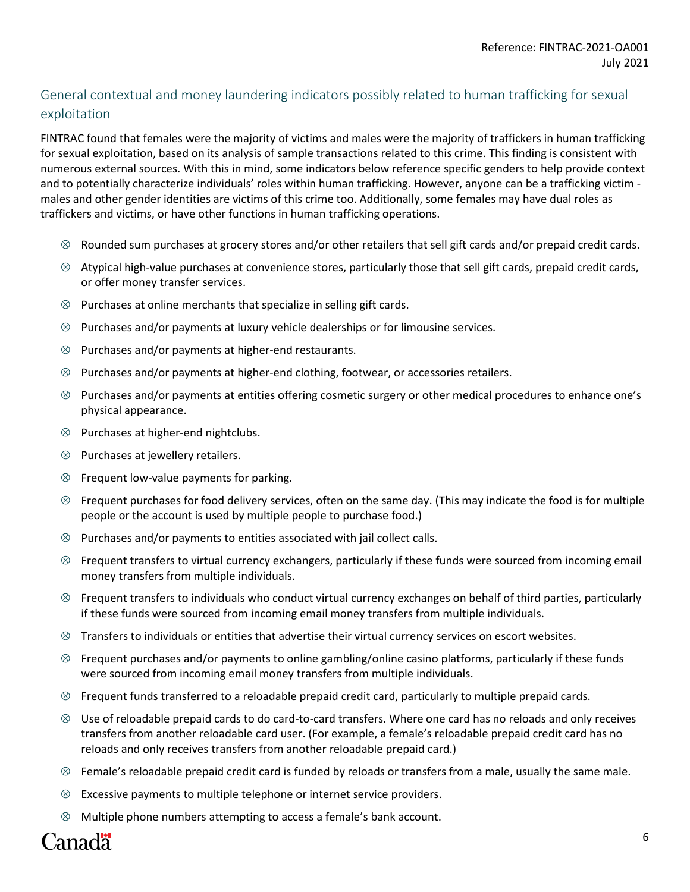### General contextual and money laundering indicators possibly related to human trafficking for sexual exploitation

FINTRAC found that females were the majority of victims and males were the majority of traffickers in human trafficking for sexual exploitation, based on its analysis of sample transactions related to this crime. This finding is consistent with numerous external sources. With this in mind, some indicators below reference specific genders to help provide context and to potentially characterize individuals' roles within human trafficking. However, anyone can be a trafficking victim males and other gender identities are victims of this crime too. Additionally, some females may have dual roles as traffickers and victims, or have other functions in human trafficking operations.

- $\otimes$  Rounded sum purchases at grocery stores and/or other retailers that sell gift cards and/or prepaid credit cards.
- $\otimes$  Atypical high-value purchases at convenience stores, particularly those that sell gift cards, prepaid credit cards, or offer money transfer services.
- $\otimes$  Purchases at online merchants that specialize in selling gift cards.
- $\otimes$  Purchases and/or payments at luxury vehicle dealerships or for limousine services.
- $\otimes$  Purchases and/or payments at higher-end restaurants.
- $\otimes$  Purchases and/or payments at higher-end clothing, footwear, or accessories retailers.
- Purchases and/or payments at entities offering cosmetic surgery or other medical procedures to enhance one's physical appearance.
- $\otimes$  Purchases at higher-end nightclubs.
- $\otimes$  Purchases at jewellery retailers.
- $\otimes$  Frequent low-value payments for parking.
- $\otimes$  Frequent purchases for food delivery services, often on the same day. (This may indicate the food is for multiple people or the account is used by multiple people to purchase food.)
- $\otimes$  Purchases and/or payments to entities associated with jail collect calls.
- $\otimes$  Frequent transfers to virtual currency exchangers, particularly if these funds were sourced from incoming email money transfers from multiple individuals.
- $\otimes$  Frequent transfers to individuals who conduct virtual currency exchanges on behalf of third parties, particularly if these funds were sourced from incoming email money transfers from multiple individuals.
- $\otimes$  Transfers to individuals or entities that advertise their virtual currency services on escort websites.
- $\otimes$  Frequent purchases and/or payments to online gambling/online casino platforms, particularly if these funds were sourced from incoming email money transfers from multiple individuals.
- $\otimes$  Frequent funds transferred to a reloadable prepaid credit card, particularly to multiple prepaid cards.
- $\otimes$  Use of reloadable prepaid cards to do card-to-card transfers. Where one card has no reloads and only receives transfers from another reloadable card user. (For example, a female's reloadable prepaid credit card has no reloads and only receives transfers from another reloadable prepaid card.)
- $\otimes$  Female's reloadable prepaid credit card is funded by reloads or transfers from a male, usually the same male.
- $\otimes$  Excessive payments to multiple telephone or internet service providers.
- $\otimes$  Multiple phone numbers attempting to access a female's bank account.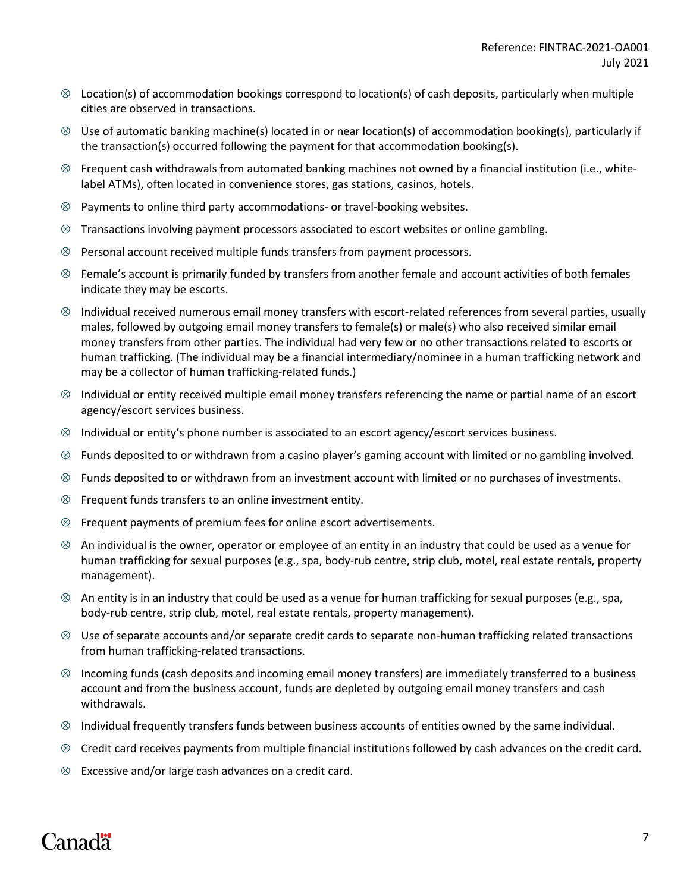- $\otimes$  Location(s) of accommodation bookings correspond to location(s) of cash deposits, particularly when multiple cities are observed in transactions.
- $\otimes$  Use of automatic banking machine(s) located in or near location(s) of accommodation booking(s), particularly if the transaction(s) occurred following the payment for that accommodation booking(s).
- $\otimes$  Frequent cash withdrawals from automated banking machines not owned by a financial institution (i.e., whitelabel ATMs), often located in convenience stores, gas stations, casinos, hotels.
- $\otimes$  Payments to online third party accommodations- or travel-booking websites.
- $\otimes$  Transactions involving payment processors associated to escort websites or online gambling.
- $\otimes$  Personal account received multiple funds transfers from payment processors.
- $\otimes$  Female's account is primarily funded by transfers from another female and account activities of both females indicate they may be escorts.
- $\otimes$  Individual received numerous email money transfers with escort-related references from several parties, usually males, followed by outgoing email money transfers to female(s) or male(s) who also received similar email money transfers from other parties. The individual had very few or no other transactions related to escorts or human trafficking. (The individual may be a financial intermediary/nominee in a human trafficking network and may be a collector of human trafficking-related funds.)
- $\otimes$  Individual or entity received multiple email money transfers referencing the name or partial name of an escort agency/escort services business.
- $\otimes$  Individual or entity's phone number is associated to an escort agency/escort services business.
- $\otimes$  Funds deposited to or withdrawn from a casino player's gaming account with limited or no gambling involved.
- Funds deposited to or withdrawn from an investment account with limited or no purchases of investments.
- $\otimes$  Frequent funds transfers to an online investment entity.
- $\otimes$  Frequent payments of premium fees for online escort advertisements.
- $\otimes$  An individual is the owner, operator or employee of an entity in an industry that could be used as a venue for human trafficking for sexual purposes (e.g., spa, body-rub centre, strip club, motel, real estate rentals, property management).
- $\otimes$  An entity is in an industry that could be used as a venue for human trafficking for sexual purposes (e.g., spa, body-rub centre, strip club, motel, real estate rentals, property management).
- $\otimes$  Use of separate accounts and/or separate credit cards to separate non-human trafficking related transactions from human trafficking-related transactions.
- $\otimes$  Incoming funds (cash deposits and incoming email money transfers) are immediately transferred to a business account and from the business account, funds are depleted by outgoing email money transfers and cash withdrawals.
- $\otimes$  Individual frequently transfers funds between business accounts of entities owned by the same individual.
- $\otimes$  Credit card receives payments from multiple financial institutions followed by cash advances on the credit card.
- $\otimes$  Excessive and/or large cash advances on a credit card.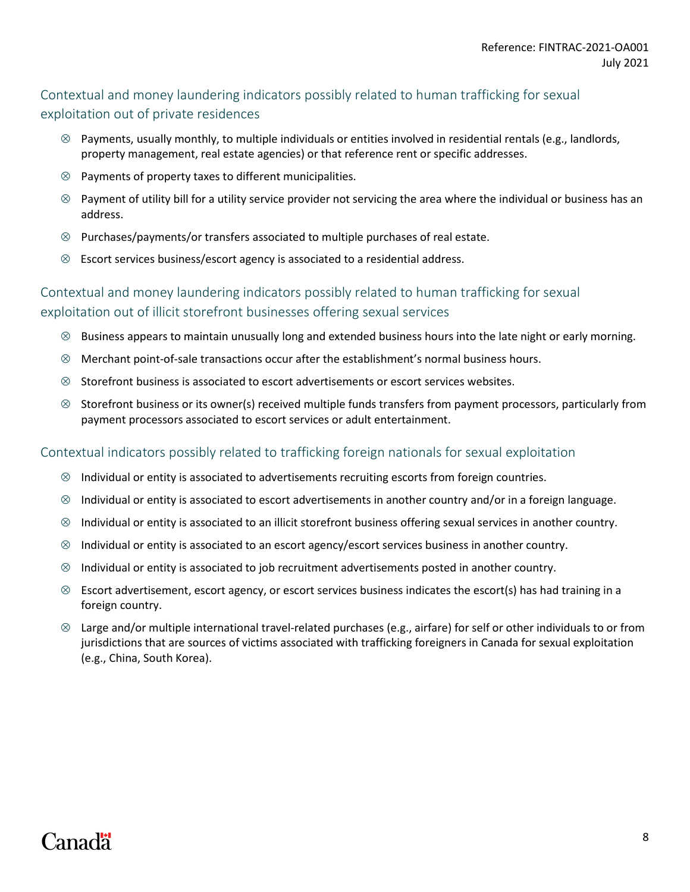### Contextual and money laundering indicators possibly related to human trafficking for sexual exploitation out of private residences

- $\otimes$  Payments, usually monthly, to multiple individuals or entities involved in residential rentals (e.g., landlords, property management, real estate agencies) or that reference rent or specific addresses.
- $\otimes$  Payments of property taxes to different municipalities.
- $\otimes$  Payment of utility bill for a utility service provider not servicing the area where the individual or business has an address.
- $\otimes$  Purchases/payments/or transfers associated to multiple purchases of real estate.
- $\otimes$  Escort services business/escort agency is associated to a residential address.

### Contextual and money laundering indicators possibly related to human trafficking for sexual exploitation out of illicit storefront businesses offering sexual services

- $\otimes$  Business appears to maintain unusually long and extended business hours into the late night or early morning.
- $\otimes$  Merchant point-of-sale transactions occur after the establishment's normal business hours.
- $\otimes$  Storefront business is associated to escort advertisements or escort services websites.
- $\otimes$  Storefront business or its owner(s) received multiple funds transfers from payment processors, particularly from payment processors associated to escort services or adult entertainment.

### Contextual indicators possibly related to trafficking foreign nationals for sexual exploitation

- $\otimes$  Individual or entity is associated to advertisements recruiting escorts from foreign countries.
- $\otimes$  Individual or entity is associated to escort advertisements in another country and/or in a foreign language.
- $\otimes$  Individual or entity is associated to an illicit storefront business offering sexual services in another country.
- $\otimes$  Individual or entity is associated to an escort agency/escort services business in another country.
- $\otimes$  Individual or entity is associated to job recruitment advertisements posted in another country.
- $\otimes$  Escort advertisement, escort agency, or escort services business indicates the escort(s) has had training in a foreign country.
- $\otimes$  Large and/or multiple international travel-related purchases (e.g., airfare) for self or other individuals to or from jurisdictions that are sources of victims associated with trafficking foreigners in Canada for sexual exploitation (e.g., China, South Korea).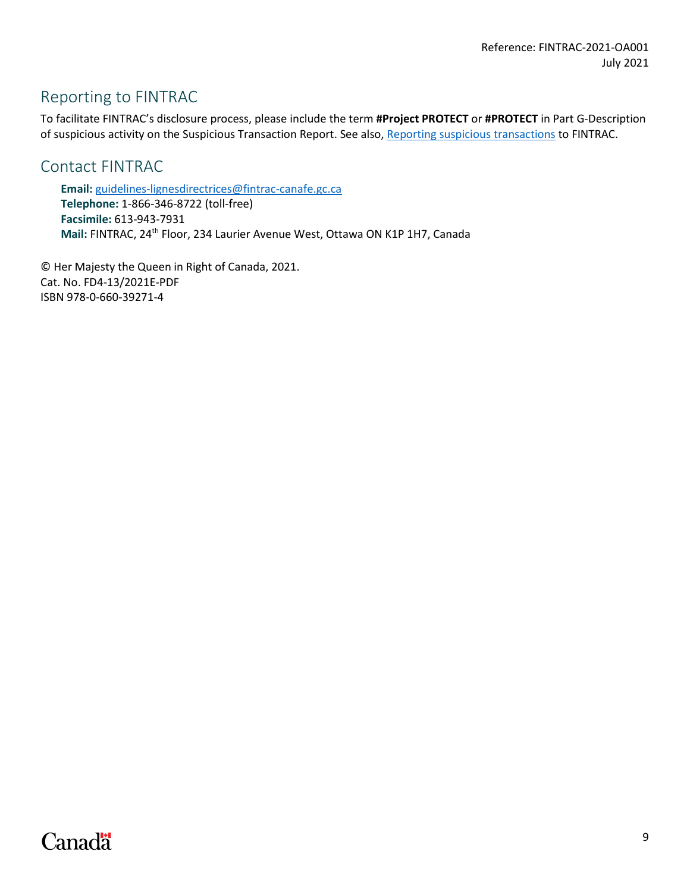## Reporting to FINTRAC

To facilitate FINTRAC's disclosure process, please include the term **#Project PROTECT** or **#PROTECT** in Part G-Description of suspicious activity on the Suspicious Transaction Report. See also, [Reporting suspicious transactions](https://www.fintrac-canafe.gc.ca/guidance-directives/transaction-operation/Guide3/str-eng) to FINTRAC.

Contact FINTRAC

**Email:** [guidelines-lignesdirectrices@fintrac-canafe.gc.ca](mailto:guidelines-lignesdirectrices@fintrac-canafe.gc.ca) **Telephone:** 1-866-346-8722 (toll-free) **Facsimile:** 613-943-7931 Mail: FINTRAC, 24<sup>th</sup> Floor, 234 Laurier Avenue West, Ottawa ON K1P 1H7, Canada

© Her Majesty the Queen in Right of Canada, 2021. Cat. No. FD4-13/2021E-PDF ISBN 978-0-660-39271-4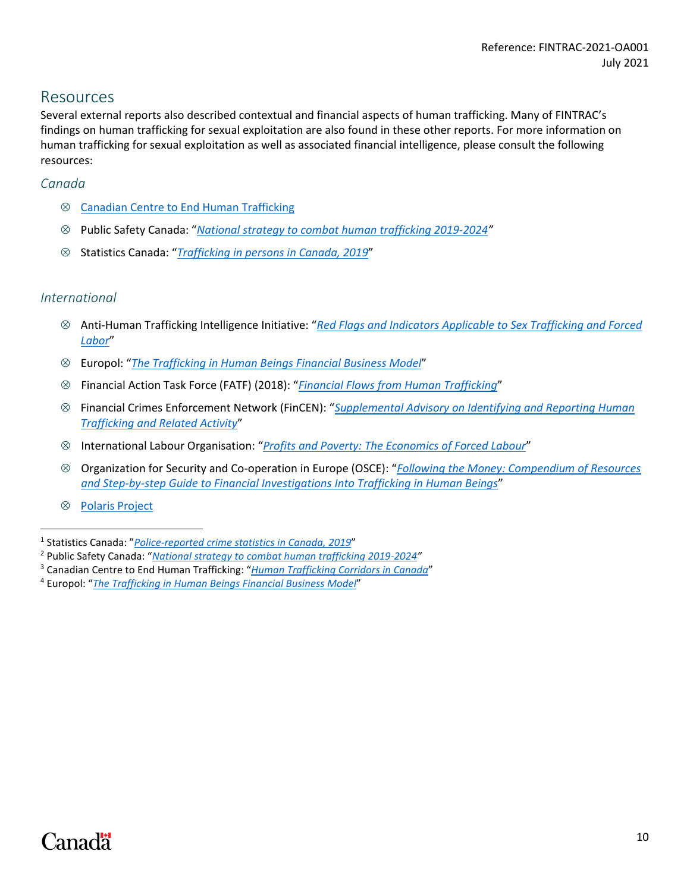### Resources

Several external reports also described contextual and financial aspects of human trafficking. Many of FINTRAC's findings on human trafficking for sexual exploitation are also found in these other reports. For more information on human trafficking for sexual exploitation as well as associated financial intelligence, please consult the following resources:

### *Canada*

- [Canadian Centre to End Human Trafficking](https://www.canadiancentretoendhumantrafficking.ca/)
- Public Safety Canada: "*[National strategy to combat human trafficking 2019-2024"](https://www.publicsafety.gc.ca/cnt/rsrcs/pblctns/2019-ntnl-strtgy-hmnn-trffc/index-en.aspx)*
- Statistics Canada: "*[Trafficking in persons in Canada, 2019](https://www150.statcan.gc.ca/n1/pub/85-005-x/2021001/article/00001-eng.htm)*"

### *International*

- Anti-Human Trafficking Intelligence Initiative: "*[Red Flags and Indicators Applicable to Sex Trafficking and Forced](https://followmoneyfightslavery.org/wp-content/uploads/2020/12/Red-Flags-ATII.pdf)  [Labor](https://followmoneyfightslavery.org/wp-content/uploads/2020/12/Red-Flags-ATII.pdf)*"
- Europol: "*[The Trafficking in Human Beings Financial Business Model](https://www.europol.europa.eu/print/publications-documents/trafficking-in-human-beings-financial-business-model)*"
- Financial Action Task Force (FATF) (2018): "*[Financial Flows from Human Trafficking](http://www.fatf-gafi.org/publications/methodsandtrends/documents/human-trafficking.html)*"
- Financial Crimes Enforcement Network (FinCEN): "*[Supplemental Advisory on Identifying and Reporting Human](https://www.fincen.gov/sites/default/files/advisory/2020-10-15/Advisory%20Human%20Trafficking%20508%20FINAL_0.pdf)  [Trafficking and Related Activity](https://www.fincen.gov/sites/default/files/advisory/2020-10-15/Advisory%20Human%20Trafficking%20508%20FINAL_0.pdf)*"
- International Labour Organisation: "*[Profits and Poverty: The Economics of Forced Labour](https://www.ilo.org/global/topics/forced-labour/publications/profits-of-forced-labour-2014/lang--en/index.htm)*"
- Organization for Security and Co-operation in Europe (OSCE): "*[Following the Money: Compendium of Resources](https://www.osce.org/secretariat/438323)  [and Step-by-step Guide to Financial Investigations Into Trafficking in Human Beings](https://www.osce.org/secretariat/438323)*"
- [Polaris Project](https://polarisproject.org/)

 $\overline{a}$ 

<sup>&</sup>lt;sup>1</sup> Statistics Canada: "*[Police-reported crime statistics in Canada, 2019](https://www150.statcan.gc.ca/n1/pub/85-002-x/2020001/article/00010-eng.htm)*"

<sup>2</sup> Public Safety Canada: "*[National strategy to combat human trafficking 2019-2024"](https://www.publicsafety.gc.ca/cnt/rsrcs/pblctns/2019-ntnl-strtgy-hmnn-trffc/index-en.aspx)*

<sup>3</sup> Canadian Centre to End Human Trafficking: "*[Human Trafficking Corridors in Canada](https://www.canadiancentretoendhumantrafficking.ca/wp-content/uploads/2021/05/CCTEHT-Human-Trafficking-Corridors-ENG-FINAL.pdf)*"

<sup>4</sup> Europol: "*[The Trafficking in Human Beings Financial Business Model](https://www.europol.europa.eu/print/publications-documents/trafficking-in-human-beings-financial-business-model)*"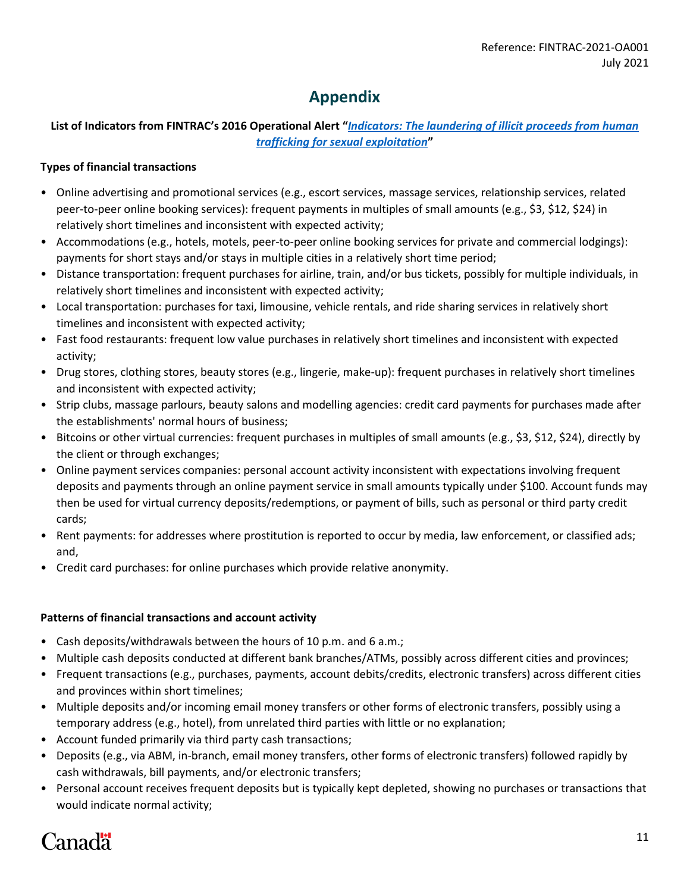## **Appendix**

#### **List of Indicators from FINTRAC's 2016 Operational Alert "***[Indicators: The laundering of illicit proceeds from human](https://www.fintrac-canafe.gc.ca/intel/operation/oai-hts-eng)  [trafficking for sexual exploitation](https://www.fintrac-canafe.gc.ca/intel/operation/oai-hts-eng)***"**

#### **Types of financial transactions**

- Online advertising and promotional services (e.g., escort services, massage services, relationship services, related peer-to-peer online booking services): frequent payments in multiples of small amounts (e.g., \$3, \$12, \$24) in relatively short timelines and inconsistent with expected activity;
- Accommodations (e.g., hotels, motels, peer-to-peer online booking services for private and commercial lodgings): payments for short stays and/or stays in multiple cities in a relatively short time period;
- Distance transportation: frequent purchases for airline, train, and/or bus tickets, possibly for multiple individuals, in relatively short timelines and inconsistent with expected activity;
- Local transportation: purchases for taxi, limousine, vehicle rentals, and ride sharing services in relatively short timelines and inconsistent with expected activity;
- Fast food restaurants: frequent low value purchases in relatively short timelines and inconsistent with expected activity;
- Drug stores, clothing stores, beauty stores (e.g., lingerie, make-up): frequent purchases in relatively short timelines and inconsistent with expected activity;
- Strip clubs, massage parlours, beauty salons and modelling agencies: credit card payments for purchases made after the establishments' normal hours of business;
- Bitcoins or other virtual currencies: frequent purchases in multiples of small amounts (e.g., \$3, \$12, \$24), directly by the client or through exchanges;
- Online payment services companies: personal account activity inconsistent with expectations involving frequent deposits and payments through an online payment service in small amounts typically under \$100. Account funds may then be used for virtual currency deposits/redemptions, or payment of bills, such as personal or third party credit cards;
- Rent payments: for addresses where prostitution is reported to occur by media, law enforcement, or classified ads; and,
- Credit card purchases: for online purchases which provide relative anonymity.

#### **Patterns of financial transactions and account activity**

- Cash deposits/withdrawals between the hours of 10 p.m. and 6 a.m.;
- Multiple cash deposits conducted at different bank branches/ATMs, possibly across different cities and provinces;
- Frequent transactions (e.g., purchases, payments, account debits/credits, electronic transfers) across different cities and provinces within short timelines;
- Multiple deposits and/or incoming email money transfers or other forms of electronic transfers, possibly using a temporary address (e.g., hotel), from unrelated third parties with little or no explanation;
- Account funded primarily via third party cash transactions;
- Deposits (e.g., via ABM, in-branch, email money transfers, other forms of electronic transfers) followed rapidly by cash withdrawals, bill payments, and/or electronic transfers;
- Personal account receives frequent deposits but is typically kept depleted, showing no purchases or transactions that would indicate normal activity;